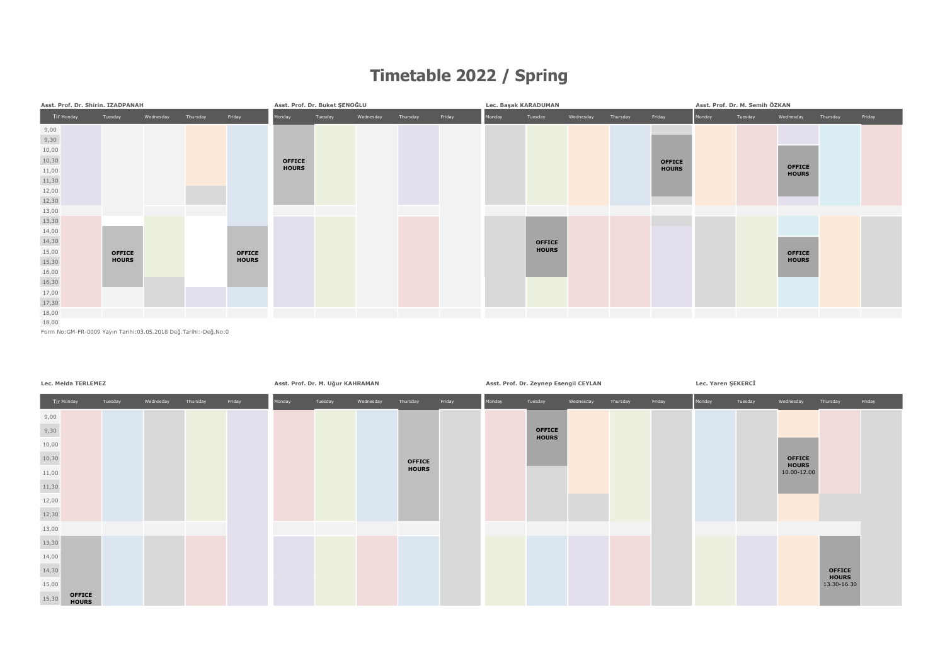## Timetable 2022 / Spring



Form No:GM-FR-0009 Yayın Tarihi:03.05.2018 Değ.Tarihi:-Değ.No:0

|       | Lec. Melda TERLEMEZ           |         |           |          |        | Asst. Prof. Dr. M. Uğur KAHRAMAN | Asst. Prof. Dr. Zeynep Esengil CEYLAN |           |               |        |        | Lec. Yaren ŞEKERCİ            |           |          |        |        |         |                               |                               |        |
|-------|-------------------------------|---------|-----------|----------|--------|----------------------------------|---------------------------------------|-----------|---------------|--------|--------|-------------------------------|-----------|----------|--------|--------|---------|-------------------------------|-------------------------------|--------|
|       | Tir Monday                    | Tuesday | Wednesday | Thursday | Friday | Monday                           | Tuesday                               | Wednesday | Thursday      | Friday | Monday | Tuesday                       | Wednesday | Thursday | Friday | Monday | Tuesday | Wednesday                     | Thursday                      | Friday |
| 9,00  |                               |         |           |          |        |                                  |                                       |           |               |        |        |                               |           |          |        |        |         |                               |                               |        |
| 9,30  |                               |         |           |          |        |                                  |                                       |           |               |        |        | <b>OFFICE</b><br><b>HOURS</b> |           |          |        |        |         |                               |                               |        |
| 10,00 |                               |         |           |          |        |                                  |                                       |           |               |        |        |                               |           |          |        |        |         |                               |                               |        |
| 10,30 |                               |         |           |          |        |                                  |                                       |           | <b>OFFICE</b> |        |        |                               |           |          |        |        |         | <b>OFFICE</b><br><b>HOURS</b> |                               |        |
| 11,00 |                               |         |           |          |        |                                  |                                       |           | <b>HOURS</b>  |        |        |                               |           |          |        |        |         | 10.00-12.00                   |                               |        |
| 11,30 |                               |         |           |          |        |                                  |                                       |           |               |        |        |                               |           |          |        |        |         |                               |                               |        |
| 12,00 |                               |         |           |          |        |                                  |                                       |           |               |        |        |                               |           |          |        |        |         |                               |                               |        |
| 12,30 |                               |         |           |          |        |                                  |                                       |           |               |        |        |                               |           |          |        |        |         |                               |                               |        |
| 13,00 |                               |         |           |          |        |                                  |                                       |           |               |        |        |                               |           |          |        |        |         |                               |                               |        |
| 13,30 |                               |         |           |          |        |                                  |                                       |           |               |        |        |                               |           |          |        |        |         |                               |                               |        |
| 14,00 |                               |         |           |          |        |                                  |                                       |           |               |        |        |                               |           |          |        |        |         |                               |                               |        |
| 14,30 |                               |         |           |          |        |                                  |                                       |           |               |        |        |                               |           |          |        |        |         |                               | <b>OFFICE</b><br><b>HOURS</b> |        |
| 15,00 |                               |         |           |          |        |                                  |                                       |           |               |        |        |                               |           |          |        |        |         |                               | 13.30-16.30                   |        |
| 15,30 | <b>OFFICE</b><br><b>HOURS</b> |         |           |          |        |                                  |                                       |           |               |        |        |                               |           |          |        |        |         |                               |                               |        |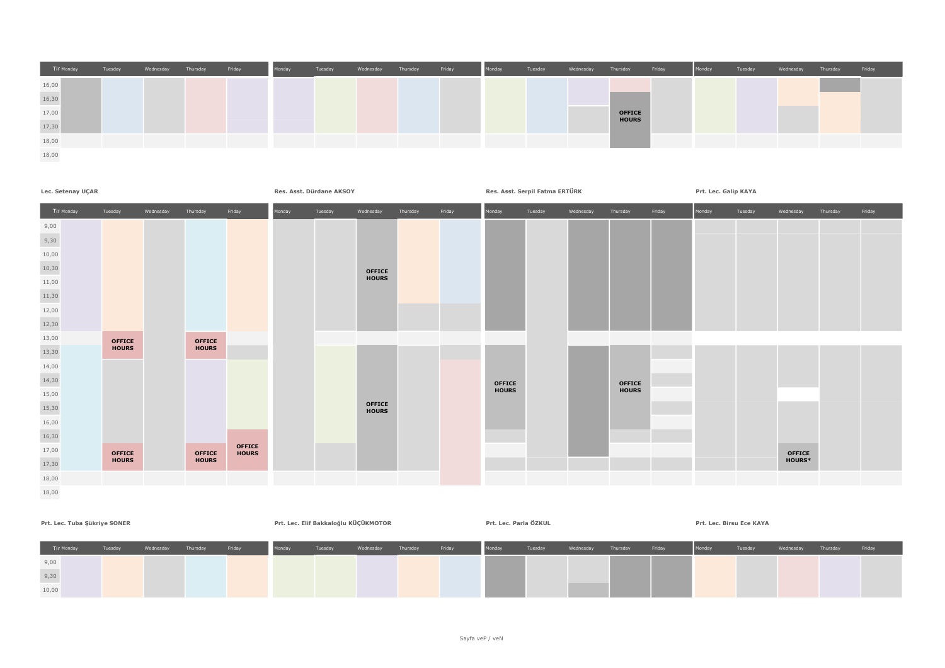



| Prt. Lec. Tuba Şükriye SONER | Prt. Lec. Elif Bakkaloğlu KÜÇÜKMOTOR |           |          |        |        | Prt. Lec. Parla ÖZKUL |           |          |        | Prt. Lec. Birsu Ece KAYA |         |                    |        |        |         |           |          |        |  |
|------------------------------|--------------------------------------|-----------|----------|--------|--------|-----------------------|-----------|----------|--------|--------------------------|---------|--------------------|--------|--------|---------|-----------|----------|--------|--|
| Tir Monday                   | Tuesday                              | Wednesday | Thursday | Friday | Monday | Tuesday               | Wednesday | Thursday | Friday | Monday                   | Tuesday | Wednesday Thursday | Friday | Monday | Tuesday | Wednesday | Thursday | Friday |  |
| 9,00                         |                                      |           |          |        |        |                       |           |          |        |                          |         |                    |        |        |         |           |          |        |  |
| 9,30                         |                                      |           |          |        |        |                       |           |          |        |                          |         |                    |        |        |         |           |          |        |  |
| 10,00                        |                                      |           |          |        |        |                       |           |          |        |                          |         |                    |        |        |         |           |          |        |  |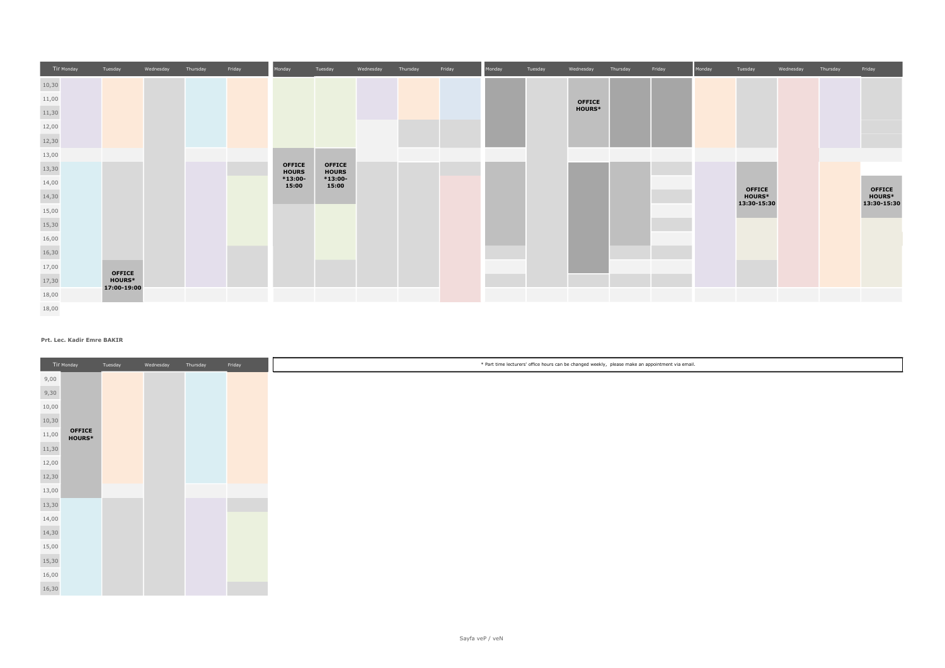| Tir Monday               | Tuesday                      | Wednesday | Thursday | Friday | Monday                        | Tuesday                       | Wednesday | Thursday | Friday | Monday | Tuesday | Wednesday     | Thursday | Friday | Monday | Tuesday                      | Wednesday | Thursday | Friday                       |
|--------------------------|------------------------------|-----------|----------|--------|-------------------------------|-------------------------------|-----------|----------|--------|--------|---------|---------------|----------|--------|--------|------------------------------|-----------|----------|------------------------------|
| 10,30                    |                              |           |          |        |                               |                               |           |          |        |        |         |               |          |        |        |                              |           |          |                              |
| 11,00                    |                              |           |          |        |                               |                               |           |          |        |        |         | <b>OFFICE</b> |          |        |        |                              |           |          |                              |
| 11,30                    |                              |           |          |        |                               |                               |           |          |        |        |         | <b>HOURS*</b> |          |        |        |                              |           |          |                              |
| 12,00                    |                              |           |          |        |                               |                               |           |          |        |        |         |               |          |        |        |                              |           |          |                              |
| <b>Contract</b><br>12,30 |                              |           |          |        |                               |                               |           |          |        |        |         |               |          |        |        |                              |           |          |                              |
| 13,00                    |                              |           |          |        |                               |                               |           |          |        |        |         |               |          |        |        |                              |           |          |                              |
| 13,30                    |                              |           |          |        | <b>OFFICE</b><br><b>HOURS</b> | <b>OFFICE</b><br><b>HOURS</b> |           |          |        |        |         |               |          |        |        |                              |           |          |                              |
| 14,00                    |                              |           |          |        | $*13:00-$<br>15:00            | $*13:00-$<br>15:00            |           |          |        |        |         |               |          |        |        | <b>OFFICE</b>                |           |          | <b>OFFICE</b>                |
| 14,30                    |                              |           |          |        |                               |                               |           |          |        |        |         |               |          |        |        | <b>HOURS*</b><br>13:30-15:30 |           |          | <b>HOURS*</b><br>13:30-15:30 |
| 15,00                    |                              |           |          |        |                               |                               |           |          |        |        |         |               |          |        |        |                              |           |          |                              |
| 15,30                    |                              |           |          |        |                               |                               |           |          |        |        |         |               |          |        |        |                              |           |          |                              |
| 16,00                    |                              |           |          |        |                               |                               |           |          |        |        |         |               |          |        |        |                              |           |          |                              |
| 16,30                    |                              |           |          |        |                               |                               |           |          |        |        |         |               |          |        |        |                              |           |          |                              |
| 17,00                    | <b>OFFICE</b>                |           |          |        |                               |                               |           |          |        |        |         |               |          |        |        |                              |           |          |                              |
| 17,30                    | <b>HOURS*</b><br>17:00-19:00 |           |          |        |                               |                               |           |          |        |        |         |               |          |        |        |                              |           |          |                              |
| $18,00\,$                |                              |           |          |        |                               |                               |           |          |        |        |         |               |          |        |        |                              |           |          |                              |
| 18,00                    |                              |           |          |        |                               |                               |           |          |        |        |         |               |          |        |        |                              |           |          |                              |

## Prt. Lec. Kadir Emre BAKIR

|       | Tir Monday                     | Tuesday | Wednesday | Thursday | Friday |
|-------|--------------------------------|---------|-----------|----------|--------|
| 9,00  |                                |         |           |          |        |
| 9,30  |                                |         |           |          |        |
| 10,00 |                                |         |           |          |        |
| 10,30 |                                |         |           |          |        |
| 11,00 | <b>OFFICE</b><br><b>HOURS*</b> |         |           |          |        |
| 11,30 |                                |         |           |          |        |
| 12,00 |                                |         |           |          |        |
| 12,30 |                                |         |           |          |        |
| 13,00 |                                |         |           |          |        |
| 13,30 |                                |         |           |          |        |
| 14,00 |                                |         |           |          |        |
| 14,30 |                                |         |           |          |        |
| 15,00 |                                |         |           |          |        |
| 15,30 |                                |         |           |          |        |
| 16,00 |                                |         |           |          |        |
| 16,30 |                                |         |           |          |        |